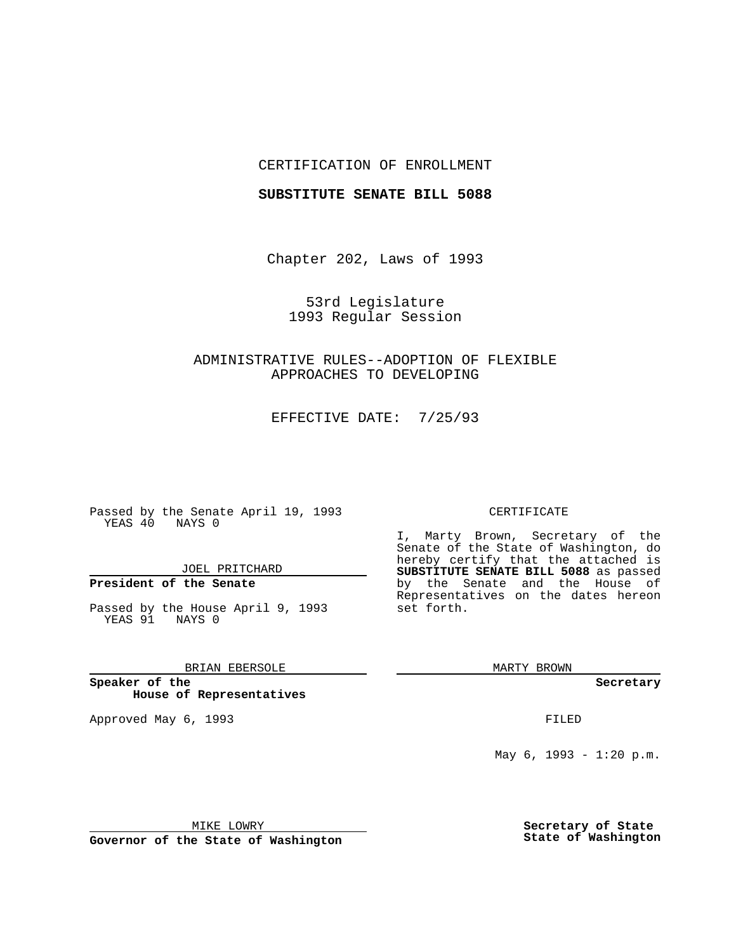### CERTIFICATION OF ENROLLMENT

#### **SUBSTITUTE SENATE BILL 5088**

Chapter 202, Laws of 1993

53rd Legislature 1993 Regular Session

ADMINISTRATIVE RULES--ADOPTION OF FLEXIBLE APPROACHES TO DEVELOPING

EFFECTIVE DATE: 7/25/93

Passed by the Senate April 19, 1993 YEAS 40 NAYS 0

JOEL PRITCHARD

# **President of the Senate**

Passed by the House April 9, 1993 YEAS 91 NAYS 0

## BRIAN EBERSOLE

**Speaker of the House of Representatives**

Approved May 6, 1993 **FILED** 

#### CERTIFICATE

I, Marty Brown, Secretary of the Senate of the State of Washington, do hereby certify that the attached is **SUBSTITUTE SENATE BILL 5088** as passed by the Senate and the House of Representatives on the dates hereon set forth.

MARTY BROWN

**Secretary**

May 6, 1993 - 1:20 p.m.

MIKE LOWRY

**Governor of the State of Washington**

**Secretary of State State of Washington**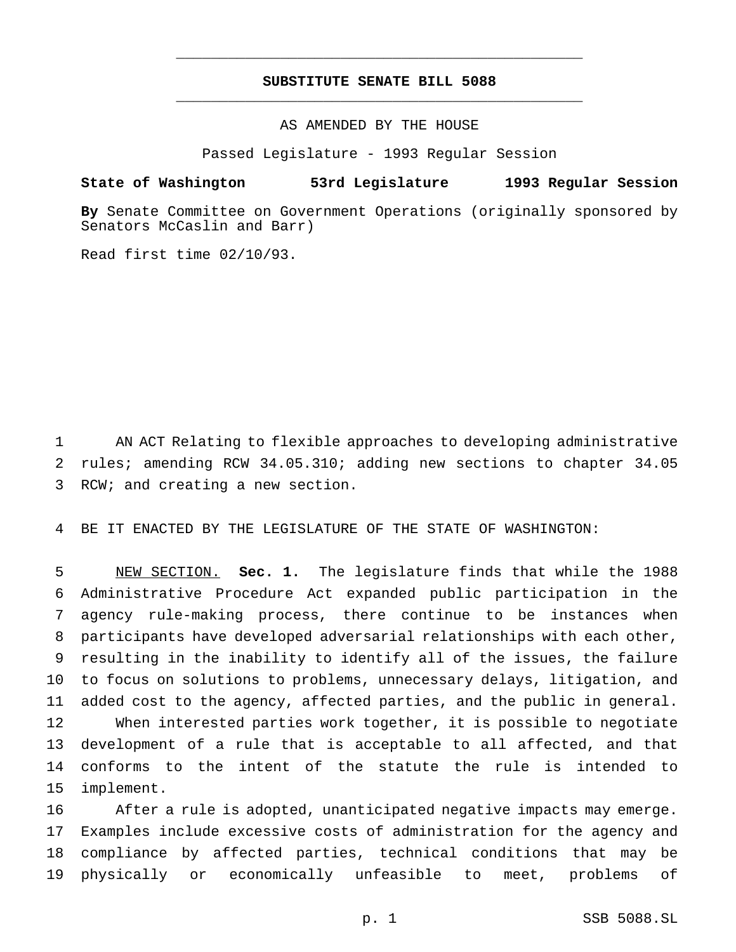# **SUBSTITUTE SENATE BILL 5088** \_\_\_\_\_\_\_\_\_\_\_\_\_\_\_\_\_\_\_\_\_\_\_\_\_\_\_\_\_\_\_\_\_\_\_\_\_\_\_\_\_\_\_\_\_\_\_

\_\_\_\_\_\_\_\_\_\_\_\_\_\_\_\_\_\_\_\_\_\_\_\_\_\_\_\_\_\_\_\_\_\_\_\_\_\_\_\_\_\_\_\_\_\_\_

AS AMENDED BY THE HOUSE

Passed Legislature - 1993 Regular Session

#### **State of Washington 53rd Legislature 1993 Regular Session**

**By** Senate Committee on Government Operations (originally sponsored by Senators McCaslin and Barr)

Read first time 02/10/93.

 AN ACT Relating to flexible approaches to developing administrative rules; amending RCW 34.05.310; adding new sections to chapter 34.05 RCW; and creating a new section.

BE IT ENACTED BY THE LEGISLATURE OF THE STATE OF WASHINGTON:

 NEW SECTION. **Sec. 1.** The legislature finds that while the 1988 Administrative Procedure Act expanded public participation in the agency rule-making process, there continue to be instances when participants have developed adversarial relationships with each other, resulting in the inability to identify all of the issues, the failure to focus on solutions to problems, unnecessary delays, litigation, and added cost to the agency, affected parties, and the public in general. When interested parties work together, it is possible to negotiate development of a rule that is acceptable to all affected, and that conforms to the intent of the statute the rule is intended to implement.

 After a rule is adopted, unanticipated negative impacts may emerge. Examples include excessive costs of administration for the agency and compliance by affected parties, technical conditions that may be physically or economically unfeasible to meet, problems of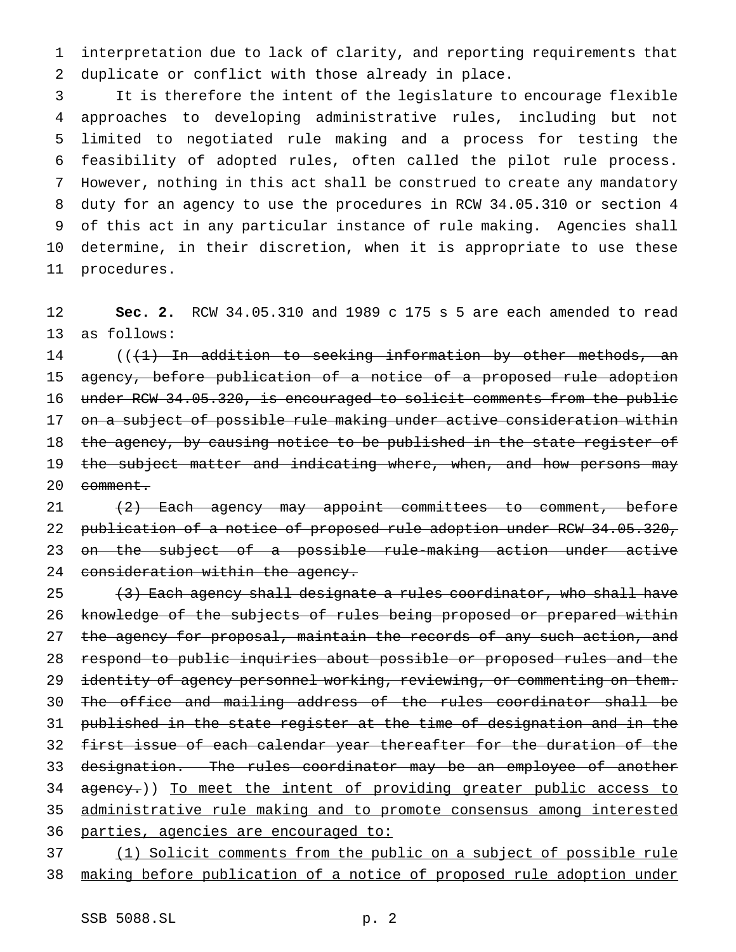1 interpretation due to lack of clarity, and reporting requirements that 2 duplicate or conflict with those already in place.

 It is therefore the intent of the legislature to encourage flexible approaches to developing administrative rules, including but not limited to negotiated rule making and a process for testing the feasibility of adopted rules, often called the pilot rule process. However, nothing in this act shall be construed to create any mandatory duty for an agency to use the procedures in RCW 34.05.310 or section 4 of this act in any particular instance of rule making. Agencies shall determine, in their discretion, when it is appropriate to use these procedures.

12 **Sec. 2.** RCW 34.05.310 and 1989 c 175 s 5 are each amended to read 13 as follows:

14 (((1) In addition to seeking information by other methods, an 15 agency, before publication of a notice of a proposed rule adoption 16 under RCW 34.05.320, is encouraged to solicit comments from the public 17 on a subject of possible rule making under active consideration within 18 the agency, by causing notice to be published in the state register of 19 the subject matter and indicating where, when, and how persons may 20 comment.

21 (2) Each agency may appoint committees to comment, before 22 publication of a notice of proposed rule adoption under RCW 34.05.320, 23 on the subject of a possible rule-making action under active 24 consideration within the agency.

 $25$  (3) Each agency shall designate a rules coordinator, who shall have 26 knowledge of the subjects of rules being proposed or prepared within 27 the agency for proposal, maintain the records of any such action, and 28 respond to public inquiries about possible or proposed rules and the 29 identity of agency personnel working, reviewing, or commenting on them. 30 The office and mailing address of the rules coordinator shall be 31 published in the state register at the time of designation and in the 32 first issue of each calendar year thereafter for the duration of the 33 designation. The rules coordinator may be an employee of another 34 agency.)) To meet the intent of providing greater public access to 35 administrative rule making and to promote consensus among interested 36 parties, agencies are encouraged to:

37 (1) Solicit comments from the public on a subject of possible rule 38 making before publication of a notice of proposed rule adoption under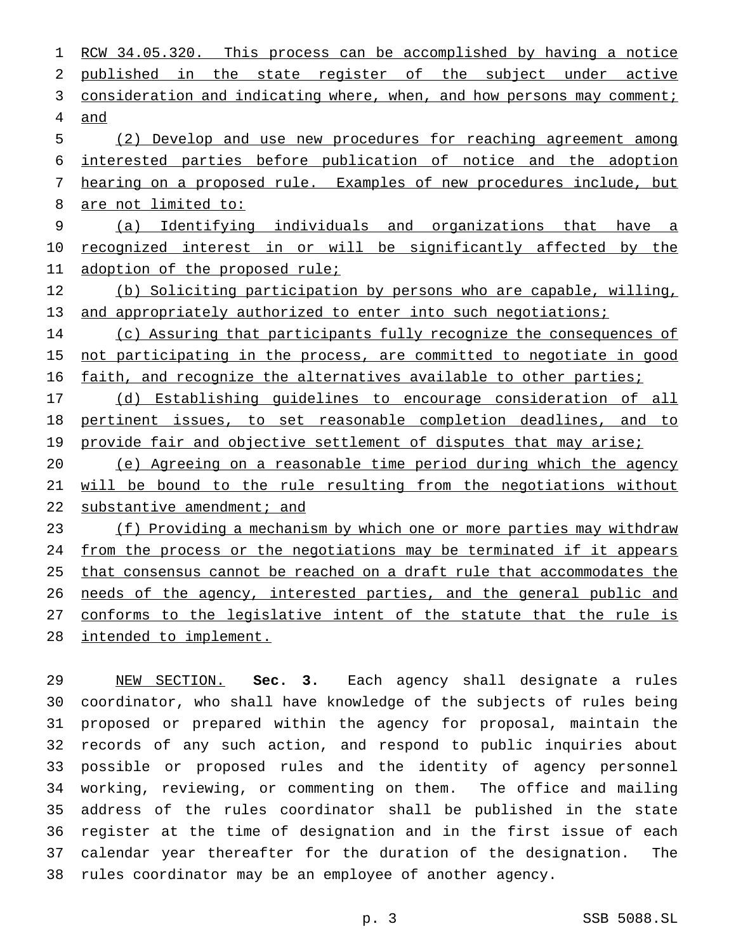RCW 34.05.320. This process can be accomplished by having a notice published in the state register of the subject under active 3 consideration and indicating where, when, and how persons may comment; and (2) Develop and use new procedures for reaching agreement among interested parties before publication of notice and the adoption hearing on a proposed rule. Examples of new procedures include, but are not limited to: (a) Identifying individuals and organizations that have a 10 recognized interest in or will be significantly affected by the 11 adoption of the proposed rule; (b) Soliciting participation by persons who are capable, willing, 13 and appropriately authorized to enter into such negotiations; (c) Assuring that participants fully recognize the consequences of not participating in the process, are committed to negotiate in good 16 faith, and recognize the alternatives available to other parties; (d) Establishing guidelines to encourage consideration of all pertinent issues, to set reasonable completion deadlines, and to 19 provide fair and objective settlement of disputes that may arise; (e) Agreeing on a reasonable time period during which the agency will be bound to the rule resulting from the negotiations without 22 substantive amendment; and (f) Providing a mechanism by which one or more parties may withdraw from the process or the negotiations may be terminated if it appears 25 that consensus cannot be reached on a draft rule that accommodates the 26 needs of the agency, interested parties, and the general public and 27 conforms to the legislative intent of the statute that the rule is

intended to implement.

 NEW SECTION. **Sec. 3.** Each agency shall designate a rules coordinator, who shall have knowledge of the subjects of rules being proposed or prepared within the agency for proposal, maintain the records of any such action, and respond to public inquiries about possible or proposed rules and the identity of agency personnel working, reviewing, or commenting on them. The office and mailing address of the rules coordinator shall be published in the state register at the time of designation and in the first issue of each calendar year thereafter for the duration of the designation. The rules coordinator may be an employee of another agency.